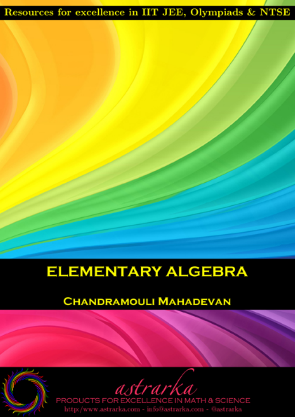### Resources for excellence in IIT JEE, Olympiads & NTSE

### **ELEMENTARY ALGEBRA**

#### **CHANDRAMOULI MAHADEVAN**

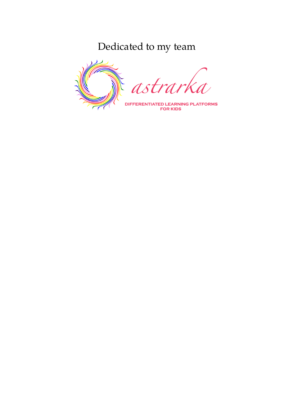### Dedicated to my team

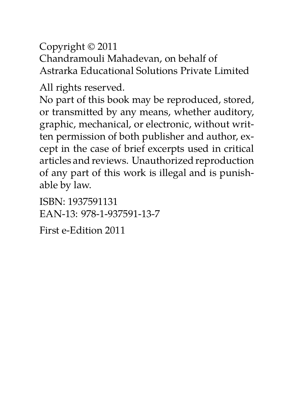Copyright © 2011 Chandramouli Mahadevan, on behalf of Astrarka Educational Solutions Private Limited

All rights reserved.

No part of this book may be reproduced, stored, or transmitted by any means, whether auditory, graphic, mechanical, or electronic, without written permission of both publisher and author, except in the case of brief excerpts used in critical articles and reviews. Unauthorized reproduction of any part of this work is illegal and is punishable by law.

ISBN: 1937591131 EAN-13: 978-1-937591-13-7

First e-Edition 2011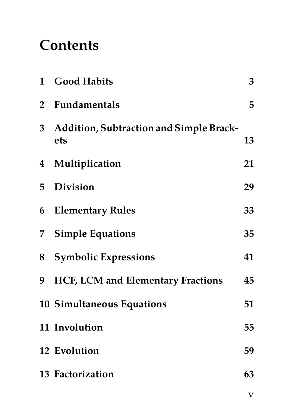### **Contents**

| $\mathbf{1}$   | <b>Good Habits</b>                             | 3  |
|----------------|------------------------------------------------|----|
| $\overline{2}$ | Fundamentals                                   | 5  |
| 3 <sup>1</sup> | Addition, Subtraction and Simple Brack-<br>ets | 13 |
| $\overline{4}$ | Multiplication                                 | 21 |
| 5              | <b>Division</b>                                | 29 |
| 6              | <b>Elementary Rules</b>                        | 33 |
| 7              | <b>Simple Equations</b>                        | 35 |
| 8              | <b>Symbolic Expressions</b>                    | 41 |
| 9              | HCF, LCM and Elementary Fractions              | 45 |
|                | 10 Simultaneous Equations                      | 51 |
|                | 11 Involution                                  | 55 |
|                | 12 Evolution                                   | 59 |
|                | 13 Factorization                               | 63 |
|                |                                                |    |

v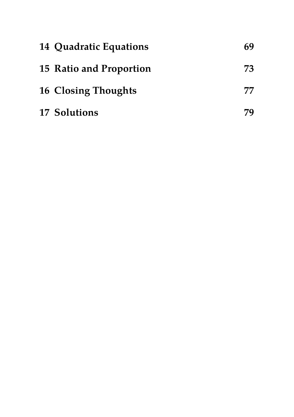| 14 Quadratic Equations     | 69 |
|----------------------------|----|
| 15 Ratio and Proportion    | 73 |
| <b>16 Closing Thoughts</b> | 77 |
| 17 Solutions               |    |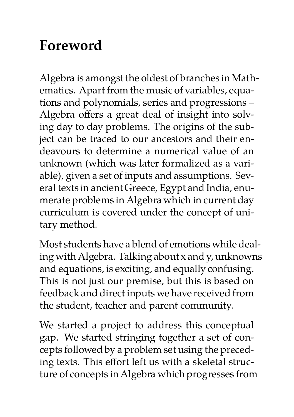## **Foreword**

Algebra is amongst the oldest of branches in Mathematics. Apart from the music of variables, equations and polynomials, series and progressions – Algebra offers a great deal of insight into solving day to day problems. The origins of the subject can be traced to our ancestors and their endeavours to determine a numerical value of an unknown (which was later formalized as a variable), given a set of inputs and assumptions. Several texts in ancient Greece, Egypt and India, enumerate problems in Algebra which in current day curriculum is covered under the concept of unitary method.

Most students have a blend of emotions while dealing with Algebra. Talking about x and y, unknowns and equations, is exciting, and equally confusing. This is not just our premise, but this is based on feedback and direct inputs we have received from the student, teacher and parent community.

We started a project to address this conceptual gap. We started stringing together a set of concepts followed by a problem set using the preceding texts. This effort left us with a skeletal structure of concepts in Algebra which progresses from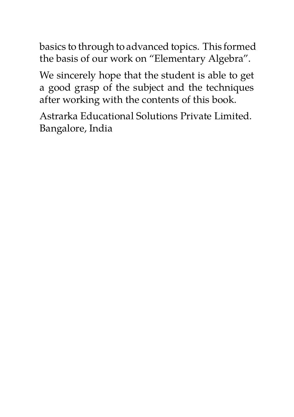basics to through to advanced topics. This formed the basis of our work on "Elementary Algebra".

We sincerely hope that the student is able to get a good grasp of the subject and the techniques after working with the contents of this book.

Astrarka Educational Solutions Private Limited. Bangalore, India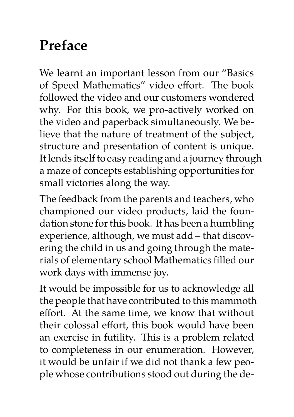## **Preface**

We learnt an important lesson from our "Basics of Speed Mathematics" video effort. The book followed the video and our customers wondered why. For this book, we pro-actively worked on the video and paperback simultaneously. We believe that the nature of treatment of the subject, structure and presentation of content is unique. It lends itself to easy reading and a journey through a maze of concepts establishing opportunities for small victories along the way.

The feedback from the parents and teachers, who championed our video products, laid the foundation stone for this book. It has been a humbling experience, although, we must add – that discovering the child in us and going through the materials of elementary school Mathematics filled our work days with immense joy.

It would be impossible for us to acknowledge all the people that have contributed to this mammoth effort. At the same time, we know that without their colossal effort, this book would have been an exercise in futility. This is a problem related to completeness in our enumeration. However, it would be unfair if we did not thank a few people whose contributions stood out during the de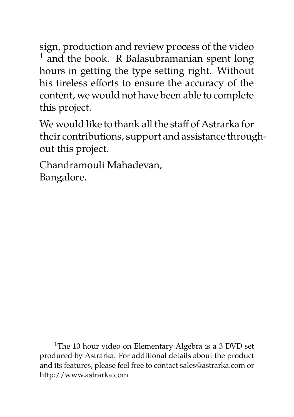sign, production and review process of the video  $<sup>1</sup>$  and the book. R Balasubramanian spent long</sup> hours in getting the type setting right. Without his tireless efforts to ensure the accuracy of the content, we would not have been able to complete this project.

We would like to thank all the staff of Astrarka for their contributions, support and assistance throughout this project.

Chandramouli Mahadevan, Bangalore.

<sup>&</sup>lt;sup>1</sup>The 10 hour video on Elementary Algebra is a 3 DVD set produced by Astrarka. For additional details about the product and its features, please feel free to contact sales@astrarka.com or http://www.astrarka.com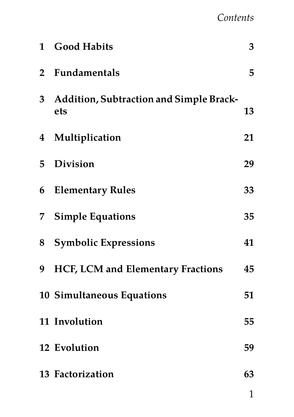#### *Contents*

| $\mathbf{1}$     | <b>Good Habits</b>                             | 3  |
|------------------|------------------------------------------------|----|
| $\overline{2}$   | Fundamentals                                   | 5  |
| 3 <sup>2</sup>   | Addition, Subtraction and Simple Brack-<br>ets | 13 |
| $\boldsymbol{4}$ | Multiplication                                 | 21 |
| 5                | <b>Division</b>                                | 29 |
| 6                | <b>Elementary Rules</b>                        | 33 |
| 7                | <b>Simple Equations</b>                        | 35 |
| 8                | <b>Symbolic Expressions</b>                    | 41 |
| 9                | HCF, LCM and Elementary Fractions              | 45 |
|                  | 10 Simultaneous Equations                      | 51 |
|                  | 11 Involution                                  | 55 |
|                  | 12 Evolution                                   | 59 |
|                  | 13 Factorization                               | 63 |
|                  |                                                | ◀  |

1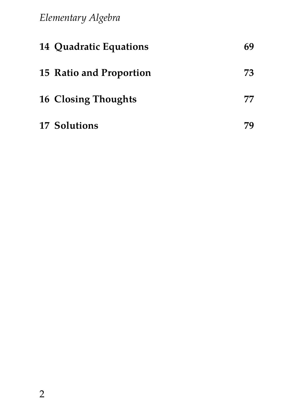*Elementary Algebra*

| 14 Quadratic Equations  |    |
|-------------------------|----|
| 15 Ratio and Proportion | 73 |
| 16 Closing Thoughts     | 77 |
| 17 Solutions            |    |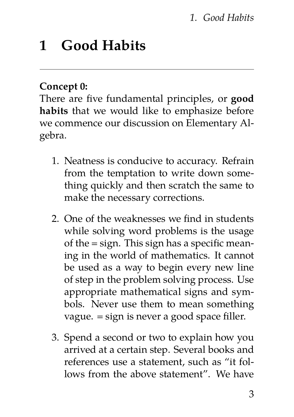#### *1. Good Habits*

### **1 Good Habits**

#### **Concept 0:**

There are five fundamental principles, or **good habits** that we would like to emphasize before we commence our discussion on Elementary Algebra.

- 1. Neatness is conducive to accuracy. Refrain from the temptation to write down something quickly and then scratch the same to make the necessary corrections.
- 2. One of the weaknesses we find in students while solving word problems is the usage of the = sign. This sign has a specific meaning in the world of mathematics. It cannot be used as a way to begin every new line of step in the problem solving process. Use appropriate mathematical signs and symbols. Never use them to mean something vague. = sign is never a good space filler.
- 3. Spend a second or two to explain how you arrived at a certain step. Several books and references use a statement, such as "it follows from the above statement". We have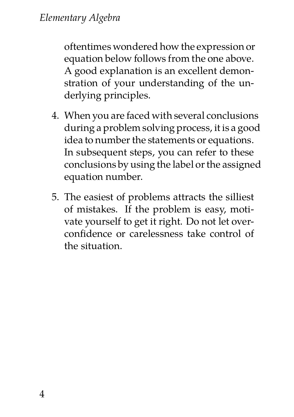oftentimes wondered how the expression or equation below follows from the one above. A good explanation is an excellent demonstration of your understanding of the underlying principles.

- 4. When you are faced with several conclusions during a problem solving process, it is a good idea to number the statements or equations. In subsequent steps, you can refer to these conclusions by using the label or the assigned equation number.
- 5. The easiest of problems attracts the silliest of mistakes. If the problem is easy, motivate yourself to get it right. Do not let overconfidence or carelessness take control of the situation.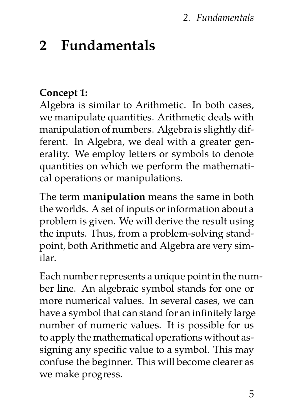#### *2. Fundamentals*

### **2 Fundamentals**

#### **Concept 1:**

Algebra is similar to Arithmetic. In both cases, we manipulate quantities. Arithmetic deals with manipulation of numbers. Algebra is slightly different. In Algebra, we deal with a greater generality. We employ letters or symbols to denote quantities on which we perform the mathematical operations or manipulations.

The term **manipulation** means the same in both the worlds. A set of inputs or information about a problem is given. We will derive the result using the inputs. Thus, from a problem-solving standpoint, both Arithmetic and Algebra are very similar.

Each number represents a unique point in the number line. An algebraic symbol stands for one or more numerical values. In several cases, we can have a symbol that can stand for an infinitely large number of numeric values. It is possible for us to apply the mathematical operations without assigning any specific value to a symbol. This may confuse the beginner. This will become clearer as we make progress.